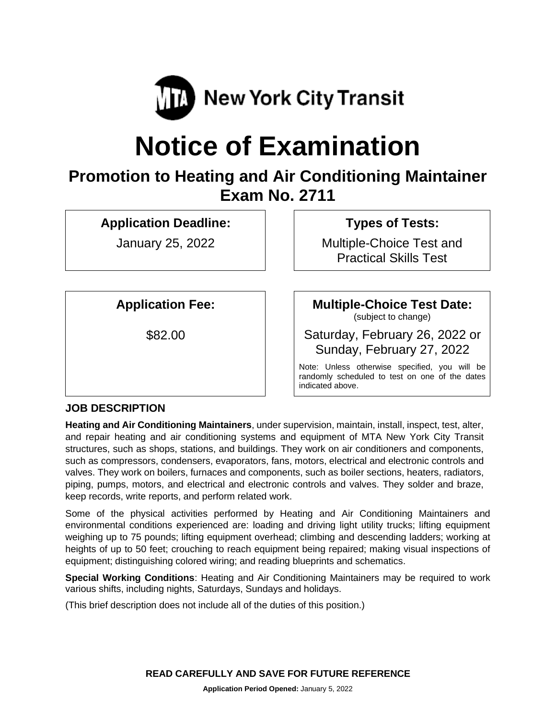

# **Notice of Examination**

# **Promotion to Heating and Air Conditioning Maintainer Exam No. 2711**

**Application Deadline:**

January 25, 2022

**Types of Tests:** 

Multiple-Choice Test and Practical Skills Test

**Application Fee:**

\$82.00

**Multiple-Choice Test Date:** (subject to change)

Saturday, February 26, 2022 or Sunday, February 27, 2022

Note: Unless otherwise specified, you will be randomly scheduled to test on one of the dates indicated above.

# **JOB DESCRIPTION**

**Heating and Air Conditioning Maintainers**, under supervision, maintain, install, inspect, test, alter, and repair heating and air conditioning systems and equipment of MTA New York City Transit structures, such as shops, stations, and buildings. They work on air conditioners and components, such as compressors, condensers, evaporators, fans, motors, electrical and electronic controls and valves. They work on boilers, furnaces and components, such as boiler sections, heaters, radiators, piping, pumps, motors, and electrical and electronic controls and valves. They solder and braze, keep records, write reports, and perform related work.

Some of the physical activities performed by Heating and Air Conditioning Maintainers and environmental conditions experienced are: loading and driving light utility trucks; lifting equipment weighing up to 75 pounds; lifting equipment overhead; climbing and descending ladders; working at heights of up to 50 feet; crouching to reach equipment being repaired; making visual inspections of equipment; distinguishing colored wiring; and reading blueprints and schematics.

**Special Working Conditions**: Heating and Air Conditioning Maintainers may be required to work various shifts, including nights, Saturdays, Sundays and holidays.

(This brief description does not include all of the duties of this position.)

**READ CAREFULLY AND SAVE FOR FUTURE REFERENCE**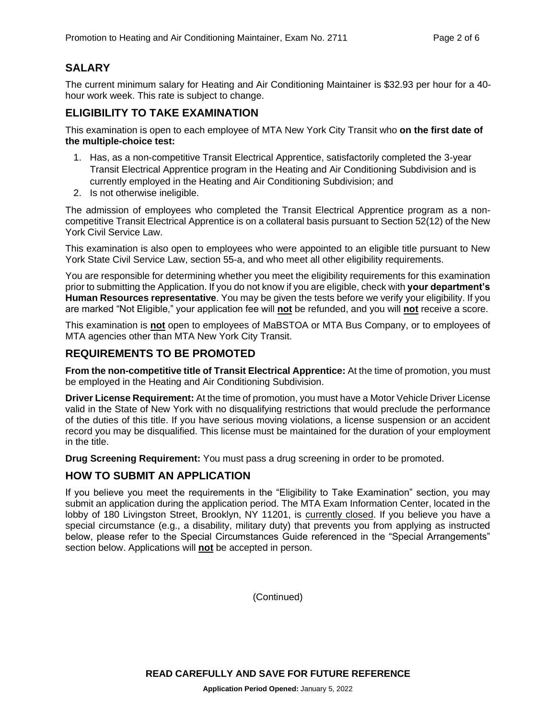# **SALARY**

The current minimum salary for Heating and Air Conditioning Maintainer is \$32.93 per hour for a 40 hour work week. This rate is subject to change.

#### **ELIGIBILITY TO TAKE EXAMINATION**

This examination is open to each employee of MTA New York City Transit who **on the first date of the multiple-choice test:**

- 1. Has, as a non-competitive Transit Electrical Apprentice, satisfactorily completed the 3-year Transit Electrical Apprentice program in the Heating and Air Conditioning Subdivision and is currently employed in the Heating and Air Conditioning Subdivision; and
- 2. Is not otherwise ineligible.

The admission of employees who completed the Transit Electrical Apprentice program as a noncompetitive Transit Electrical Apprentice is on a collateral basis pursuant to Section 52(12) of the New York Civil Service Law.

This examination is also open to employees who were appointed to an eligible title pursuant to New York State Civil Service Law, section 55-a, and who meet all other eligibility requirements.

You are responsible for determining whether you meet the eligibility requirements for this examination prior to submitting the Application. If you do not know if you are eligible, check with **your department's Human Resources representative**. You may be given the tests before we verify your eligibility. If you are marked "Not Eligible," your application fee will **not** be refunded, and you will **not** receive a score.

This examination is **not** open to employees of MaBSTOA or MTA Bus Company, or to employees of MTA agencies other than MTA New York City Transit.

#### **REQUIREMENTS TO BE PROMOTED**

**From the non-competitive title of Transit Electrical Apprentice:** At the time of promotion, you must be employed in the Heating and Air Conditioning Subdivision.

**Driver License Requirement:** At the time of promotion, you must have a Motor Vehicle Driver License valid in the State of New York with no disqualifying restrictions that would preclude the performance of the duties of this title. If you have serious moving violations, a license suspension or an accident record you may be disqualified. This license must be maintained for the duration of your employment in the title.

**Drug Screening Requirement:** You must pass a drug screening in order to be promoted.

#### **HOW TO SUBMIT AN APPLICATION**

If you believe you meet the requirements in the "Eligibility to Take Examination" section, you may submit an application during the application period. The MTA Exam Information Center, located in the lobby of 180 Livingston Street, Brooklyn, NY 11201, is currently closed. If you believe you have a special circumstance (e.g., a disability, military duty) that prevents you from applying as instructed below, please refer to the Special Circumstances Guide referenced in the "Special Arrangements" section below. Applications will **not** be accepted in person.

(Continued)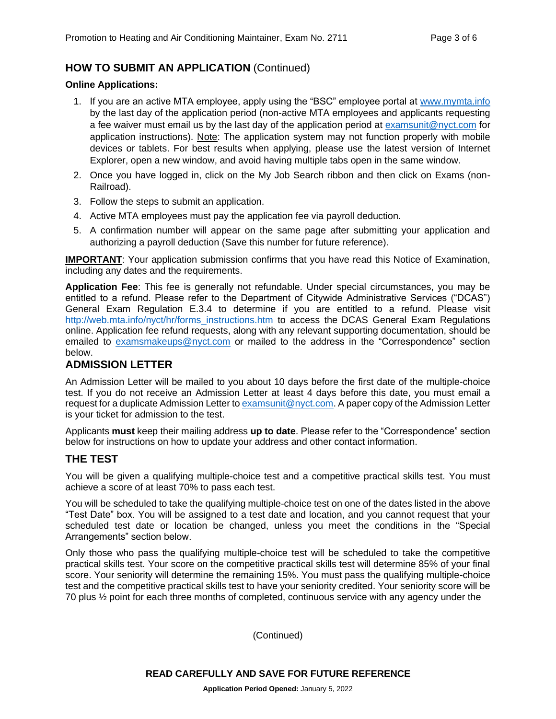# **HOW TO SUBMIT AN APPLICATION** (Continued)

#### **Online Applications:**

- 1. If you are an active MTA employee, apply using the "BSC" employee portal at [www.mymta.info](http://www.mymta.info/) by the last day of the application period (non-active MTA employees and applicants requesting a fee waiver must email us by the last day of the application period at [examsunit@nyct.com](mailto:examsunit@nyct.com) for application instructions). Note: The application system may not function properly with mobile devices or tablets. For best results when applying, please use the latest version of Internet Explorer, open a new window, and avoid having multiple tabs open in the same window.
- 2. Once you have logged in, click on the My Job Search ribbon and then click on Exams (non-Railroad).
- 3. Follow the steps to submit an application.
- 4. Active MTA employees must pay the application fee via payroll deduction.
- 5. A confirmation number will appear on the same page after submitting your application and authorizing a payroll deduction (Save this number for future reference).

**IMPORTANT:** Your application submission confirms that you have read this Notice of Examination, including any dates and the requirements.

**Application Fee**: This fee is generally not refundable. Under special circumstances, you may be entitled to a refund. Please refer to the Department of Citywide Administrative Services ("DCAS") General Exam Regulation E.3.4 to determine if you are entitled to a refund. Please visit [http://web.mta.info/nyct/hr/forms\\_instructions.htm](http://web.mta.info/nyct/hr/forms_instructions.htm) to access the DCAS General Exam Regulations online. Application fee refund requests, along with any relevant supporting documentation, should be emailed to [examsmakeups@nyct.com](mailto:examsmakeups@nyct.com) or mailed to the address in the "Correspondence" section below.

#### **ADMISSION LETTER**

An Admission Letter will be mailed to you about 10 days before the first date of the multiple-choice test. If you do not receive an Admission Letter at least 4 days before this date, you must email a request for a duplicate Admission Letter to **examsunit@nyct.com.** A paper copy of the Admission Letter is your ticket for admission to the test.

Applicants **must** keep their mailing address **up to date**. Please refer to the "Correspondence" section below for instructions on how to update your address and other contact information.

#### **THE TEST**

You will be given a qualifying multiple-choice test and a competitive practical skills test. You must achieve a score of at least 70% to pass each test.

You will be scheduled to take the qualifying multiple-choice test on one of the dates listed in the above "Test Date" box. You will be assigned to a test date and location, and you cannot request that your scheduled test date or location be changed, unless you meet the conditions in the "Special Arrangements" section below.

Only those who pass the qualifying multiple-choice test will be scheduled to take the competitive practical skills test. Your score on the competitive practical skills test will determine 85% of your final score. Your seniority will determine the remaining 15%. You must pass the qualifying multiple-choice test and the competitive practical skills test to have your seniority credited. Your seniority score will be 70 plus ½ point for each three months of completed, continuous service with any agency under the

(Continued)

**READ CAREFULLY AND SAVE FOR FUTURE REFERENCE**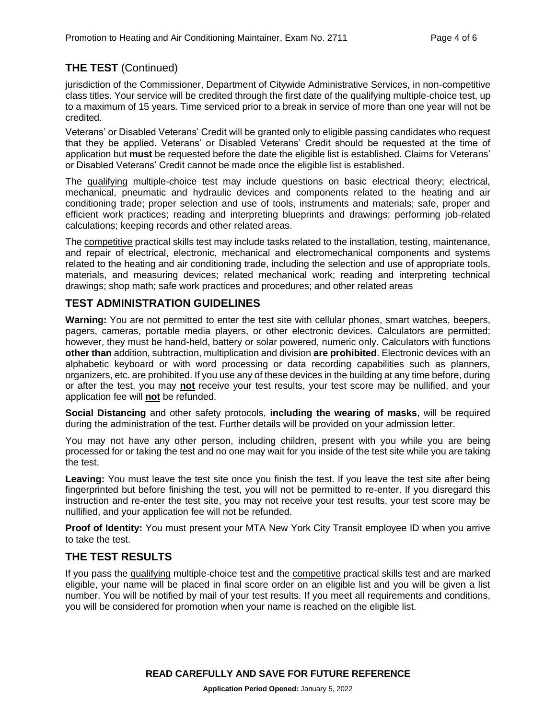# **THE TEST** (Continued)

jurisdiction of the Commissioner, Department of Citywide Administrative Services, in non-competitive class titles. Your service will be credited through the first date of the qualifying multiple-choice test, up to a maximum of 15 years. Time serviced prior to a break in service of more than one year will not be credited.

Veterans' or Disabled Veterans' Credit will be granted only to eligible passing candidates who request that they be applied. Veterans' or Disabled Veterans' Credit should be requested at the time of application but **must** be requested before the date the eligible list is established. Claims for Veterans' or Disabled Veterans' Credit cannot be made once the eligible list is established.

The qualifying multiple-choice test may include questions on basic electrical theory; electrical, mechanical, pneumatic and hydraulic devices and components related to the heating and air conditioning trade; proper selection and use of tools, instruments and materials; safe, proper and efficient work practices; reading and interpreting blueprints and drawings; performing job-related calculations; keeping records and other related areas.

The competitive practical skills test may include tasks related to the installation, testing, maintenance, and repair of electrical, electronic, mechanical and electromechanical components and systems related to the heating and air conditioning trade, including the selection and use of appropriate tools, materials, and measuring devices; related mechanical work; reading and interpreting technical drawings; shop math; safe work practices and procedures; and other related areas

# **TEST ADMINISTRATION GUIDELINES**

**Warning:** You are not permitted to enter the test site with cellular phones, smart watches, beepers, pagers, cameras, portable media players, or other electronic devices. Calculators are permitted; however, they must be hand-held, battery or solar powered, numeric only. Calculators with functions **other than** addition, subtraction, multiplication and division **are prohibited**. Electronic devices with an alphabetic keyboard or with word processing or data recording capabilities such as planners, organizers, etc. are prohibited. If you use any of these devices in the building at any time before, during or after the test, you may **not** receive your test results, your test score may be nullified, and your application fee will **not** be refunded.

**Social Distancing** and other safety protocols, **including the wearing of masks**, will be required during the administration of the test. Further details will be provided on your admission letter.

You may not have any other person, including children, present with you while you are being processed for or taking the test and no one may wait for you inside of the test site while you are taking the test.

**Leaving:** You must leave the test site once you finish the test. If you leave the test site after being fingerprinted but before finishing the test, you will not be permitted to re-enter. If you disregard this instruction and re-enter the test site, you may not receive your test results, your test score may be nullified, and your application fee will not be refunded.

**Proof of Identity:** You must present your MTA New York City Transit employee ID when you arrive to take the test.

# **THE TEST RESULTS**

If you pass the qualifying multiple-choice test and the competitive practical skills test and are marked eligible, your name will be placed in final score order on an eligible list and you will be given a list number. You will be notified by mail of your test results. If you meet all requirements and conditions, you will be considered for promotion when your name is reached on the eligible list.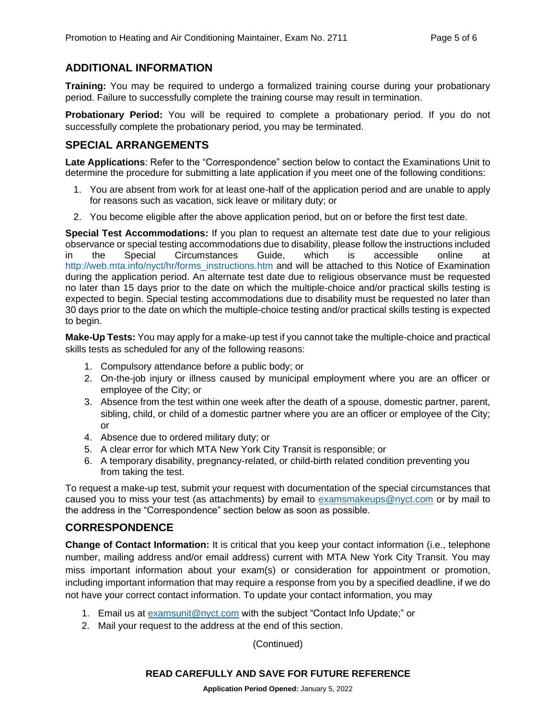### **ADDITIONAL INFORMATION**

**Training:** You may be required to undergo a formalized training course during your probationary period. Failure to successfully complete the training course may result in termination.

**Probationary Period:** You will be required to complete a probationary period. If you do not successfully complete the probationary period, you may be terminated.

#### **SPECIAL ARRANGEMENTS**

**Late Applications**: Refer to the "Correspondence" section below to contact the Examinations Unit to determine the procedure for submitting a late application if you meet one of the following conditions:

- 1. You are absent from work for at least one-half of the application period and are unable to apply for reasons such as vacation, sick leave or military duty; or
- 2. You become eligible after the above application period, but on or before the first test date.

**Special Test Accommodations:** If you plan to request an alternate test date due to your religious observance or special testing accommodations due to disability, please follow the instructions included in the Special Circumstances Guide, which is accessible online at [http://web.mta.info/nyct/hr/forms\\_instructions.htm](http://web.mta.info/nyct/hr/forms_instructions.htm) and will be attached to this Notice of Examination during the application period. An alternate test date due to religious observance must be requested no later than 15 days prior to the date on which the multiple-choice and/or practical skills testing is expected to begin. Special testing accommodations due to disability must be requested no later than 30 days prior to the date on which the multiple-choice testing and/or practical skills testing is expected to begin.

**Make-Up Tests:** You may apply for a make-up test if you cannot take the multiple-choice and practical skills tests as scheduled for any of the following reasons:

- 1. Compulsory attendance before a public body; or
- 2. On-the-job injury or illness caused by municipal employment where you are an officer or employee of the City; or
- 3. Absence from the test within one week after the death of a spouse, domestic partner, parent, sibling, child, or child of a domestic partner where you are an officer or employee of the City; or
- 4. Absence due to ordered military duty; or
- 5. A clear error for which MTA New York City Transit is responsible; or
- 6. A temporary disability, pregnancy-related, or child-birth related condition preventing you from taking the test.

To request a make-up test, submit your request with documentation of the special circumstances that caused you to miss your test (as attachments) by email to [examsmakeups@nyct.com](mailto:examsmakeups@nyct.com) or by mail to the address in the "Correspondence" section below as soon as possible.

#### **CORRESPONDENCE**

**Change of Contact Information:** It is critical that you keep your contact information (i.e., telephone number, mailing address and/or email address) current with MTA New York City Transit. You may miss important information about your exam(s) or consideration for appointment or promotion, including important information that may require a response from you by a specified deadline, if we do not have your correct contact information. To update your contact information, you may

- 1. Email us at [examsunit@nyct.com](mailto:examsunit@nyct.com) with the subject "Contact Info Update;" or
- 2. Mail your request to the address at the end of this section.

(Continued)

#### **READ CAREFULLY AND SAVE FOR FUTURE REFERENCE**